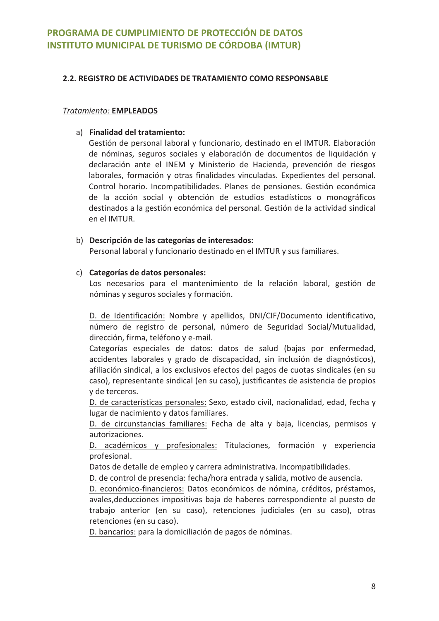## 2.2. REGISTRO DE ACTIVIDADES DE TRATAMIENTO COMO RESPONSABLE

#### **Tratamiento: EMPLEADOS**

## a) Finalidad del tratamiento:

Gestión de personal laboral y funcionario, destinado en el IMTUR. Elaboración de nóminas, seguros sociales y elaboración de documentos de liquidación y declaración ante el INEM y Ministerio de Hacienda, prevención de riesgos laborales, formación y otras finalidades vinculadas. Expedientes del personal. Control horario. Incompatibilidades. Planes de pensiones. Gestión económica de la acción social y obtención de estudios estadísticos o monográficos destinados a la gestión económica del personal. Gestión de la actividad sindical en el IMTUR.

#### b) Descripción de las categorías de interesados:

Personal laboral y funcionario destinado en el IMTUR y sus familiares.

## c) Categorías de datos personales:

Los necesarios para el mantenimiento de la relación laboral, gestión de nóminas y seguros sociales y formación.

D. de Identificación: Nombre y apellidos, DNI/CIF/Documento identificativo, número de registro de personal, número de Seguridad Social/Mutualidad, dirección, firma, teléfono y e-mail.

Categorías especiales de datos: datos de salud (bajas por enfermedad, accidentes laborales y grado de discapacidad, sin inclusión de diagnósticos), afiliación sindical, a los exclusivos efectos del pagos de cuotas sindicales (en su caso), representante sindical (en su caso), justificantes de asistencia de propios v de terceros.

D. de características personales: Sexo, estado civil, nacionalidad, edad, fecha y lugar de nacimiento y datos familiares.

D. de circunstancias familiares: Fecha de alta y baja, licencias, permisos y autorizaciones.

D. académicos y profesionales: Titulaciones, formación y experiencia profesional.

Datos de detalle de empleo y carrera administrativa. Incompatibilidades.

D. de control de presencia: fecha/hora entrada y salida, motivo de ausencia.

D. económico-financieros: Datos económicos de nómina, créditos, préstamos, avales, deducciones impositivas baja de haberes correspondiente al puesto de trabajo anterior (en su caso), retenciones judiciales (en su caso), otras retenciones (en su caso).

D. bancarios: para la domiciliación de pagos de nóminas.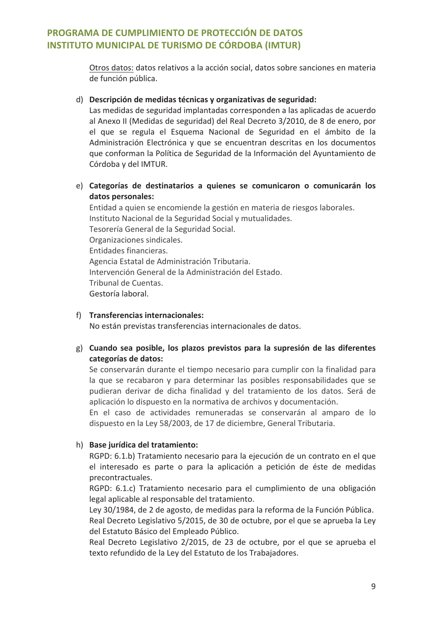Otros datos: datos relativos a la acción social, datos sobre sanciones en materia de función pública.

#### d) Descripción de medidas técnicas y organizativas de seguridad:

Las medidas de seguridad implantadas corresponden a las aplicadas de acuerdo al Anexo II (Medidas de seguridad) del Real Decreto 3/2010, de 8 de enero, por el que se regula el Esquema Nacional de Seguridad en el ámbito de la Administración Electrónica y que se encuentran descritas en los documentos que conforman la Política de Seguridad de la Información del Ayuntamiento de Córdoba y del IMTUR.

e) Categorías de destinatarios a quienes se comunicaron o comunicarán los datos personales:

Entidad a quien se encomiende la gestión en materia de riesgos laborales. Instituto Nacional de la Seguridad Social y mutualidades. Tesorería General de la Seguridad Social. Organizaciones sindicales. Entidades financieras. Agencia Estatal de Administración Tributaria. Intervención General de la Administración del Estado. Tribunal de Cuentas. Gestoría laboral.

#### f) Transferencias internacionales:

No están previstas transferencias internacionales de datos.

g) Cuando sea posible, los plazos previstos para la supresión de las diferentes categorías de datos:

Se conservarán durante el tiempo necesario para cumplir con la finalidad para la que se recabaron y para determinar las posibles responsabilidades que se pudieran derivar de dicha finalidad y del tratamiento de los datos. Será de aplicación lo dispuesto en la normativa de archivos y documentación.

En el caso de actividades remuneradas se conservarán al amparo de lo dispuesto en la Ley 58/2003, de 17 de diciembre, General Tributaria.

## h) Base jurídica del tratamiento:

RGPD: 6.1.b) Tratamiento necesario para la ejecución de un contrato en el que el interesado es parte o para la aplicación a petición de éste de medidas precontractuales.

RGPD: 6.1.c) Tratamiento necesario para el cumplimiento de una obligación legal aplicable al responsable del tratamiento.

Ley 30/1984, de 2 de agosto, de medidas para la reforma de la Función Pública.

Real Decreto Legislativo 5/2015, de 30 de octubre, por el que se aprueba la Ley del Estatuto Básico del Empleado Público.

Real Decreto Legislativo 2/2015, de 23 de octubre, por el que se aprueba el texto refundido de la Ley del Estatuto de los Trabajadores.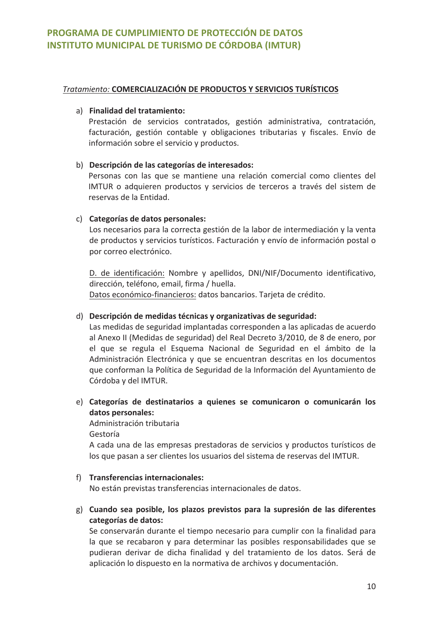## Tratamiento: COMERCIALIZACIÓN DE PRODUCTOS Y SERVICIOS TURÍSTICOS

## a) Finalidad del tratamiento:

Prestación de servicios contratados, gestión administrativa, contratación, facturación, gestión contable y obligaciones tributarias y fiscales. Envío de información sobre el servicio y productos.

## b) Descripción de las categorías de interesados:

Personas con las que se mantiene una relación comercial como clientes del IMTUR o adquieren productos y servicios de terceros a través del sistem de reservas de la Entidad.

## c) Categorías de datos personales:

Los necesarios para la correcta gestión de la labor de intermediación y la venta de productos y servicios turísticos. Facturación y envío de información postal o por correo electrónico.

D. de identificación: Nombre y apellidos, DNI/NIF/Documento identificativo, dirección, teléfono, email, firma / huella. Datos económico-financieros: datos bancarios. Tarieta de crédito.

## d) Descripción de medidas técnicas y organizativas de seguridad:

Las medidas de seguridad implantadas corresponden a las aplicadas de acuerdo al Anexo II (Medidas de seguridad) del Real Decreto 3/2010, de 8 de enero, por el que se regula el Esquema Nacional de Seguridad en el ámbito de la Administración Electrónica y que se encuentran descritas en los documentos que conforman la Política de Seguridad de la Información del Ayuntamiento de Córdoba y del IMTUR.

e) Categorías de destinatarios a quienes se comunicaron o comunicarán los datos personales:

Administración tributaria

Gestoría

A cada una de las empresas prestadoras de servicios y productos turísticos de los que pasan a ser clientes los usuarios del sistema de reservas del IMTUR.

#### f) Transferencias internacionales:

No están previstas transferencias internacionales de datos.

g) Cuando sea posible, los plazos previstos para la supresión de las diferentes categorías de datos:

Se conservarán durante el tiempo necesario para cumplir con la finalidad para la que se recabaron y para determinar las posibles responsabilidades que se pudieran derivar de dicha finalidad y del tratamiento de los datos. Será de aplicación lo dispuesto en la normativa de archivos y documentación.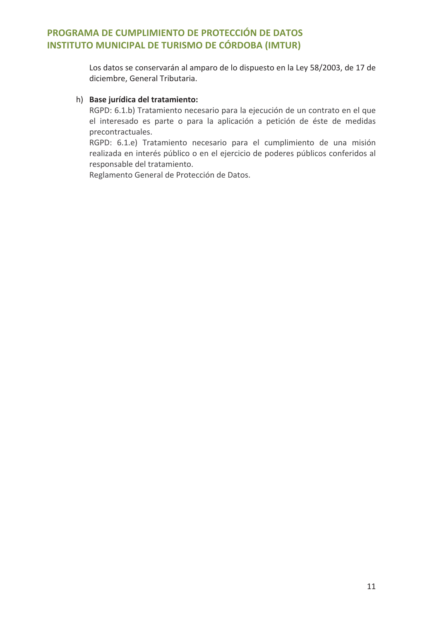Los datos se conservarán al amparo de lo dispuesto en la Ley 58/2003, de 17 de diciembre, General Tributaria.

## h) Base jurídica del tratamiento:

RGPD: 6.1.b) Tratamiento necesario para la ejecución de un contrato en el que el interesado es parte o para la aplicación a petición de éste de medidas precontractuales.

RGPD: 6.1.e) Tratamiento necesario para el cumplimiento de una misión realizada en interés público o en el ejercicio de poderes públicos conferidos al responsable del tratamiento.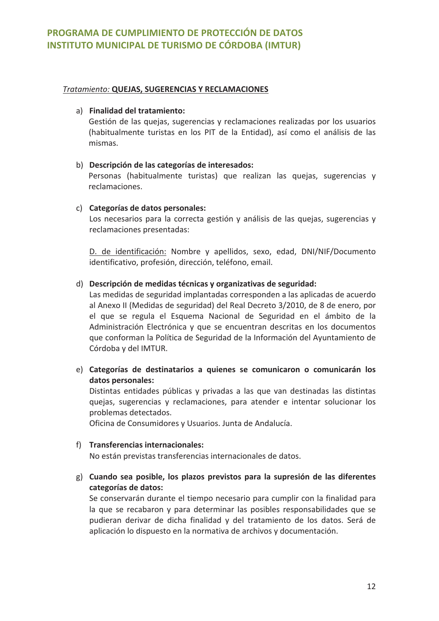### **Tratamiento: QUEJAS, SUGERENCIAS Y RECLAMACIONES**

### a) Finalidad del tratamiento:

Gestión de las quejas, sugerencias y reclamaciones realizadas por los usuarios (habitualmente turistas en los PIT de la Entidad), así como el análisis de las mismas.

## b) Descripción de las categorías de interesados:

Personas (habitualmente turistas) que realizan las quejas, sugerencias y reclamaciones.

## c) Categorías de datos personales:

Los necesarios para la correcta gestión y análisis de las quejas, sugerencias y reclamaciones presentadas:

D. de identificación: Nombre y apellidos, sexo, edad, DNI/NIF/Documento identificativo, profesión, dirección, teléfono, email.

## d) Descripción de medidas técnicas y organizativas de seguridad:

Las medidas de seguridad implantadas corresponden a las aplicadas de acuerdo al Anexo II (Medidas de seguridad) del Real Decreto 3/2010, de 8 de enero, por el que se regula el Esquema Nacional de Seguridad en el ámbito de la Administración Electrónica y que se encuentran descritas en los documentos que conforman la Política de Seguridad de la Información del Ayuntamiento de Córdoba y del IMTUR.

e) Categorías de destinatarios a quienes se comunicaron o comunicarán los datos personales:

Distintas entidades públicas y privadas a las que van destinadas las distintas quejas, sugerencias y reclamaciones, para atender e intentar solucionar los problemas detectados.

Oficina de Consumidores y Usuarios. Junta de Andalucía.

#### f) Transferencias internacionales:

No están previstas transferencias internacionales de datos.

g) Cuando sea posible, los plazos previstos para la supresión de las diferentes categorías de datos:

Se conservarán durante el tiempo necesario para cumplir con la finalidad para la que se recabaron y para determinar las posibles responsabilidades que se pudieran derivar de dicha finalidad y del tratamiento de los datos. Será de aplicación lo dispuesto en la normativa de archivos y documentación.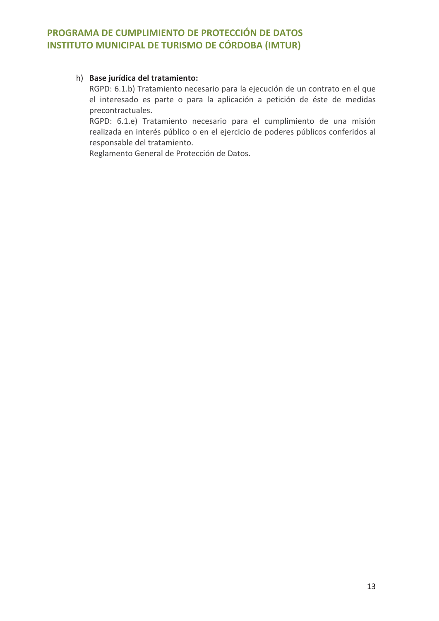## h) Base jurídica del tratamiento:

RGPD: 6.1.b) Tratamiento necesario para la ejecución de un contrato en el que el interesado es parte o para la aplicación a petición de éste de medidas precontractuales.

RGPD: 6.1.e) Tratamiento necesario para el cumplimiento de una misión realizada en interés público o en el ejercicio de poderes públicos conferidos al responsable del tratamiento.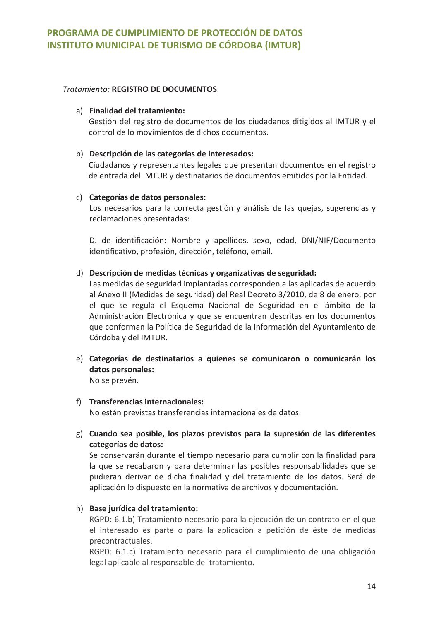## **Tratamiento: REGISTRO DE DOCUMENTOS**

### a) Finalidad del tratamiento:

Gestión del registro de documentos de los ciudadanos ditigidos al IMTUR y el control de lo movimientos de dichos documentos.

## b) Descripción de las categorías de interesados:

Ciudadanos y representantes legales que presentan documentos en el registro de entrada del IMTUR y destinatarios de documentos emitidos por la Entidad.

## c) Categorías de datos personales:

Los necesarios para la correcta gestión y análisis de las quejas, sugerencias y reclamaciones presentadas:

D. de identificación: Nombre y apellidos, sexo, edad, DNI/NIF/Documento identificativo, profesión, dirección, teléfono, email.

## d) Descripción de medidas técnicas y organizativas de seguridad:

Las medidas de seguridad implantadas corresponden a las aplicadas de acuerdo al Anexo II (Medidas de seguridad) del Real Decreto 3/2010, de 8 de enero, por el que se regula el Esquema Nacional de Seguridad en el ámbito de la Administración Electrónica y que se encuentran descritas en los documentos que conforman la Política de Seguridad de la Información del Ayuntamiento de Córdoba y del IMTUR.

- e) Categorías de destinatarios a quienes se comunicaron o comunicarán los datos personales: No se prevén.
- f) Transferencias internacionales: No están previstas transferencias internacionales de datos.
- g) Cuando sea posible, los plazos previstos para la supresión de las diferentes categorías de datos:

Se conservarán durante el tiempo necesario para cumplir con la finalidad para la que se recabaron y para determinar las posibles responsabilidades que se pudieran derivar de dicha finalidad y del tratamiento de los datos. Será de aplicación lo dispuesto en la normativa de archivos y documentación.

## h) Base jurídica del tratamiento:

RGPD: 6.1.b) Tratamiento necesario para la ejecución de un contrato en el que el interesado es parte o para la aplicación a petición de éste de medidas precontractuales.

RGPD: 6.1.c) Tratamiento necesario para el cumplimiento de una obligación legal aplicable al responsable del tratamiento.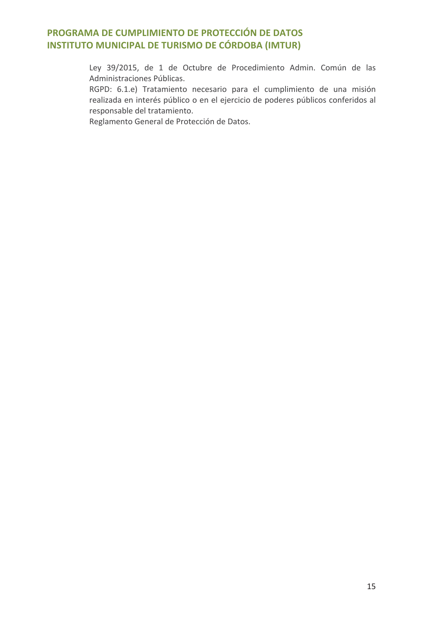Ley 39/2015, de 1 de Octubre de Procedimiento Admin. Común de las Administraciones Públicas.

RGPD: 6.1.e) Tratamiento necesario para el cumplimiento de una misión realizada en interés público o en el ejercicio de poderes públicos conferidos al responsable del tratamiento.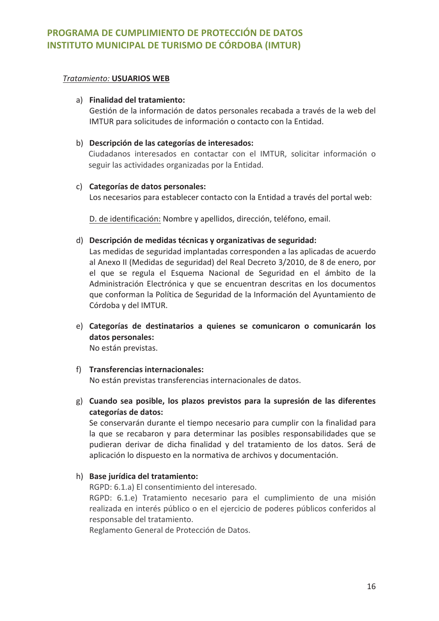#### **Tratamiento: USUARIOS WEB**

#### a) Finalidad del tratamiento:

Gestión de la información de datos personales recabada a través de la web del IMTUR para solicitudes de información o contacto con la Entidad.

#### b) Descripción de las categorías de interesados:

Ciudadanos interesados en contactar con el IMTUR, solicitar información o seguir las actividades organizadas por la Entidad.

#### c) Categorías de datos personales:

Los necesarios para establecer contacto con la Entidad a través del portal web:

D. de identificación: Nombre y apellidos, dirección, teléfono, email.

#### d) Descripción de medidas técnicas y organizativas de seguridad:

Las medidas de seguridad implantadas corresponden a las aplicadas de acuerdo al Anexo II (Medidas de seguridad) del Real Decreto 3/2010, de 8 de enero, por el que se regula el Esquema Nacional de Seguridad en el ámbito de la Administración Electrónica y que se encuentran descritas en los documentos que conforman la Política de Seguridad de la Información del Ayuntamiento de Córdoba y del IMTUR.

e) Categorías de destinatarios a quienes se comunicaron o comunicarán los datos personales:

No están previstas.

#### f) Transferencias internacionales:

No están previstas transferencias internacionales de datos.

g) Cuando sea posible, los plazos previstos para la supresión de las diferentes categorías de datos:

Se conservarán durante el tiempo necesario para cumplir con la finalidad para la que se recabaron y para determinar las posibles responsabilidades que se pudieran derivar de dicha finalidad y del tratamiento de los datos. Será de aplicación lo dispuesto en la normativa de archivos y documentación.

#### h) Base jurídica del tratamiento:

RGPD: 6.1.a) El consentimiento del interesado.

RGPD: 6.1.e) Tratamiento necesario para el cumplimiento de una misión realizada en interés público o en el ejercicio de poderes públicos conferidos al responsable del tratamiento.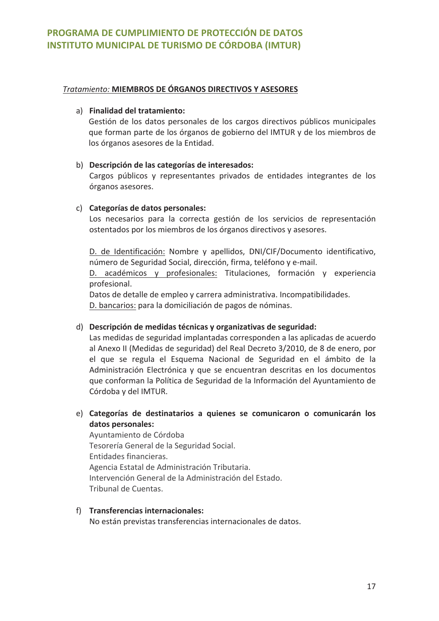## Tratamiento: MIEMBROS DE ÓRGANOS DIRECTIVOS Y ASESORES

### a) Finalidad del tratamiento:

Gestión de los datos personales de los cargos directivos públicos municipales que forman parte de los órganos de gobierno del IMTUR y de los miembros de los órganos asesores de la Entidad.

## b) Descripción de las categorías de interesados:

Cargos públicos y representantes privados de entidades integrantes de los órganos asesores.

## c) Categorías de datos personales:

Los necesarios para la correcta gestión de los servicios de representación ostentados por los miembros de los órganos directivos y asesores.

D. de Identificación: Nombre y apellidos, DNI/CIF/Documento identificativo, número de Seguridad Social, dirección, firma, teléfono y e-mail.

D. académicos y profesionales: Titulaciones, formación y experiencia profesional.

Datos de detalle de empleo y carrera administrativa. Incompatibilidades. D. bancarios: para la domiciliación de pagos de nóminas.

## d) Descripción de medidas técnicas y organizativas de seguridad:

Las medidas de seguridad implantadas corresponden a las aplicadas de acuerdo al Anexo II (Medidas de seguridad) del Real Decreto 3/2010, de 8 de enero, por el que se regula el Esquema Nacional de Seguridad en el ámbito de la Administración Electrónica y que se encuentran descritas en los documentos que conforman la Política de Seguridad de la Información del Ayuntamiento de Córdoba y del IMTUR.

## e) Categorías de destinatarios a quienes se comunicaron o comunicarán los datos personales:

Avuntamiento de Córdoba Tesorería General de la Seguridad Social. Entidades financieras. Agencia Estatal de Administración Tributaria. Intervención General de la Administración del Estado. Tribunal de Cuentas.

f) Transferencias internacionales: No están previstas transferencias internacionales de datos.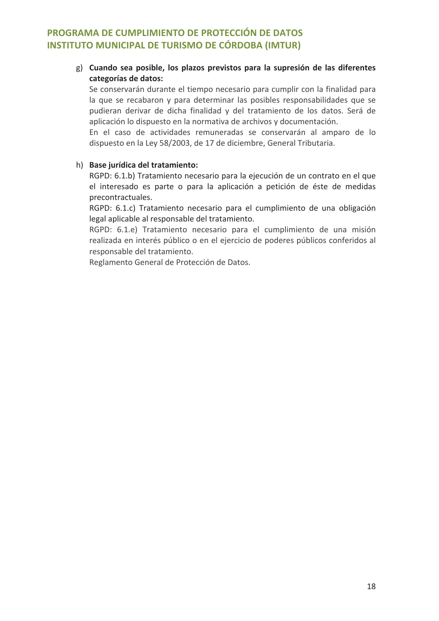## g) Cuando sea posible, los plazos previstos para la supresión de las diferentes categorías de datos:

Se conservarán durante el tiempo necesario para cumplir con la finalidad para la que se recabaron y para determinar las posibles responsabilidades que se pudieran derivar de dicha finalidad y del tratamiento de los datos. Será de aplicación lo dispuesto en la normativa de archivos y documentación.

En el caso de actividades remuneradas se conservarán al amparo de lo dispuesto en la Ley 58/2003, de 17 de diciembre, General Tributaria.

## h) Base jurídica del tratamiento:

RGPD: 6.1.b) Tratamiento necesario para la ejecución de un contrato en el que el interesado es parte o para la aplicación a petición de éste de medidas precontractuales.

RGPD: 6.1.c) Tratamiento necesario para el cumplimiento de una obligación legal aplicable al responsable del tratamiento.

RGPD: 6.1.e) Tratamiento necesario para el cumplimiento de una misión realizada en interés público o en el ejercicio de poderes públicos conferidos al responsable del tratamiento.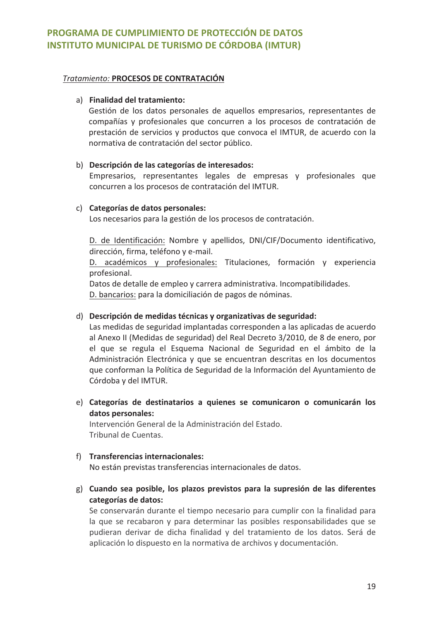#### Tratamiento: PROCESOS DE CONTRATACIÓN

### a) Finalidad del tratamiento:

Gestión de los datos personales de aquellos empresarios, representantes de compañías y profesionales que concurren a los procesos de contratación de prestación de servicios y productos que convoca el IMTUR, de acuerdo con la normativa de contratación del sector público.

## b) Descripción de las categorías de interesados:

Empresarios, representantes legales de empresas y profesionales que concurren a los procesos de contratación del IMTUR.

## c) Categorías de datos personales:

Los necesarios para la gestión de los procesos de contratación.

D. de Identificación: Nombre y apellidos, DNI/CIF/Documento identificativo, dirección, firma, teléfono y e-mail.

D. académicos y profesionales: Titulaciones, formación y experiencia profesional.

Datos de detalle de empleo y carrera administrativa. Incompatibilidades. D. bancarios: para la domiciliación de pagos de nóminas.

## d) Descripción de medidas técnicas y organizativas de seguridad:

Las medidas de seguridad implantadas corresponden a las aplicadas de acuerdo al Anexo II (Medidas de seguridad) del Real Decreto 3/2010, de 8 de enero, por el que se regula el Esquema Nacional de Seguridad en el ámbito de la Administración Electrónica y que se encuentran descritas en los documentos que conforman la Política de Seguridad de la Información del Ayuntamiento de Córdoba y del IMTUR.

e) Categorías de destinatarios a quienes se comunicaron o comunicarán los datos personales:

Intervención General de la Administración del Estado. Tribunal de Cuentas

## f) Transferencias internacionales:

No están previstas transferencias internacionales de datos.

g) Cuando sea posible, los plazos previstos para la supresión de las diferentes categorías de datos:

Se conservarán durante el tiempo necesario para cumplir con la finalidad para la que se recabaron y para determinar las posibles responsabilidades que se pudieran derivar de dicha finalidad y del tratamiento de los datos. Será de aplicación lo dispuesto en la normativa de archivos y documentación.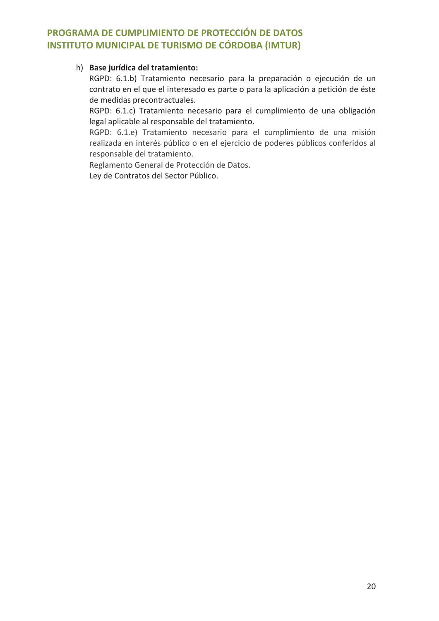## h) Base jurídica del tratamiento:

RGPD: 6.1.b) Tratamiento necesario para la preparación o ejecución de un contrato en el que el interesado es parte o para la aplicación a petición de éste de medidas precontractuales.

RGPD: 6.1.c) Tratamiento necesario para el cumplimiento de una obligación legal aplicable al responsable del tratamiento.

RGPD: 6.1.e) Tratamiento necesario para el cumplimiento de una misión realizada en interés público o en el ejercicio de poderes públicos conferidos al responsable del tratamiento.

Reglamento General de Protección de Datos.

Ley de Contratos del Sector Público.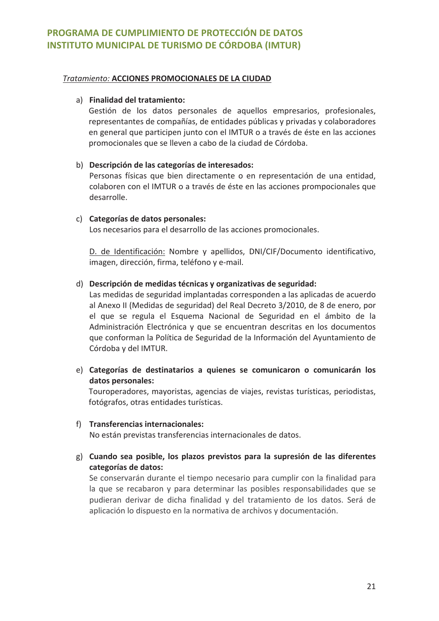#### Tratamiento: ACCIONES PROMOCIONALES DE LA CIUDAD

#### a) Finalidad del tratamiento:

Gestión de los datos personales de aquellos empresarios, profesionales, representantes de compañías, de entidades públicas y privadas y colaboradores en general que participen junto con el IMTUR o a través de éste en las acciones promocionales que se lleven a cabo de la ciudad de Córdoba.

#### b) Descripción de las categorías de interesados:

Personas físicas que bien directamente o en representación de una entidad, colaboren con el IMTUR o a través de éste en las acciones prompocionales que desarrolle.

#### c) Categorías de datos personales:

Los necesarios para el desarrollo de las acciones promocionales.

D. de Identificación: Nombre y apellidos, DNI/CIF/Documento identificativo, imagen, dirección, firma, teléfono y e-mail.

#### d) Descripción de medidas técnicas y organizativas de seguridad:

Las medidas de seguridad implantadas corresponden a las aplicadas de acuerdo al Anexo II (Medidas de seguridad) del Real Decreto 3/2010, de 8 de enero, por el que se regula el Esquema Nacional de Seguridad en el ámbito de la Administración Electrónica y que se encuentran descritas en los documentos que conforman la Política de Seguridad de la Información del Ayuntamiento de Córdoba y del IMTUR.

e) Categorías de destinatarios a quienes se comunicaron o comunicarán los datos personales:

Touroperadores, mayoristas, agencias de viajes, revistas turísticas, periodistas, fotógrafos, otras entidades turísticas.

- f) Transferencias internacionales: No están previstas transferencias internacionales de datos.
- g) Cuando sea posible, los plazos previstos para la supresión de las diferentes categorías de datos:

Se conservarán durante el tiempo necesario para cumplir con la finalidad para la que se recabaron y para determinar las posibles responsabilidades que se pudieran derivar de dicha finalidad y del tratamiento de los datos. Será de aplicación lo dispuesto en la normativa de archivos y documentación.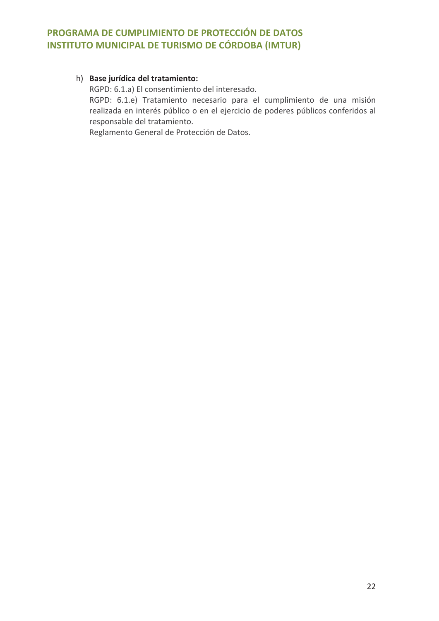## h) Base jurídica del tratamiento:

RGPD: 6.1.a) El consentimiento del interesado.

RGPD: 6.1.e) Tratamiento necesario para el cumplimiento de una misión realizada en interés público o en el ejercicio de poderes públicos conferidos al responsable del tratamiento.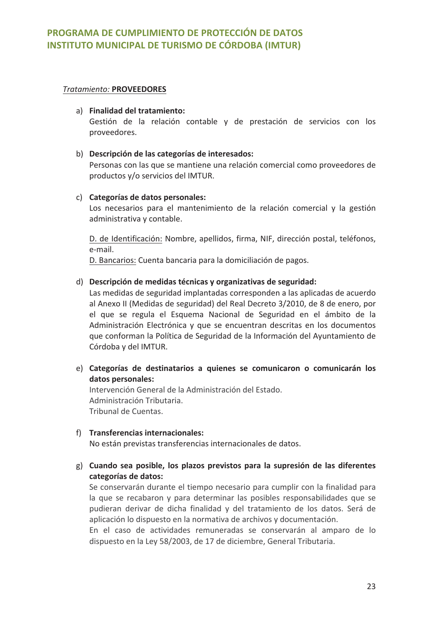#### **Tratamiento: PROVEEDORES**

#### a) Finalidad del tratamiento:

Gestión de la relación contable y de prestación de servicios con los proveedores.

#### b) Descripción de las categorías de interesados:

Personas con las que se mantiene una relación comercial como proveedores de productos v/o servicios del IMTUR.

#### c) Categorías de datos personales:

Los necesarios para el mantenimiento de la relación comercial y la gestión administrativa y contable.

D. de Identificación: Nombre, apellidos, firma, NIF, dirección postal, teléfonos, e-mail.

D. Bancarios: Cuenta bancaria para la domiciliación de pagos.

#### d) Descripción de medidas técnicas y organizativas de seguridad:

Las medidas de seguridad implantadas corresponden a las aplicadas de acuerdo al Anexo II (Medidas de seguridad) del Real Decreto 3/2010, de 8 de enero, por el que se regula el Esquema Nacional de Seguridad en el ámbito de la Administración Electrónica y que se encuentran descritas en los documentos que conforman la Política de Seguridad de la Información del Ayuntamiento de Córdoba y del IMTUR.

e) Categorías de destinatarios a quienes se comunicaron o comunicarán los datos personales:

Intervención General de la Administración del Estado. Administración Tributaria. Tribunal de Cuentas.

## f) Transferencias internacionales: No están previstas transferencias internacionales de datos.

g) Cuando sea posible, los plazos previstos para la supresión de las diferentes categorías de datos:

Se conservarán durante el tiempo necesario para cumplir con la finalidad para la que se recabaron y para determinar las posibles responsabilidades que se pudieran derivar de dicha finalidad y del tratamiento de los datos. Será de aplicación lo dispuesto en la normativa de archivos y documentación.

En el caso de actividades remuneradas se conservarán al amparo de lo dispuesto en la Ley 58/2003, de 17 de diciembre, General Tributaria.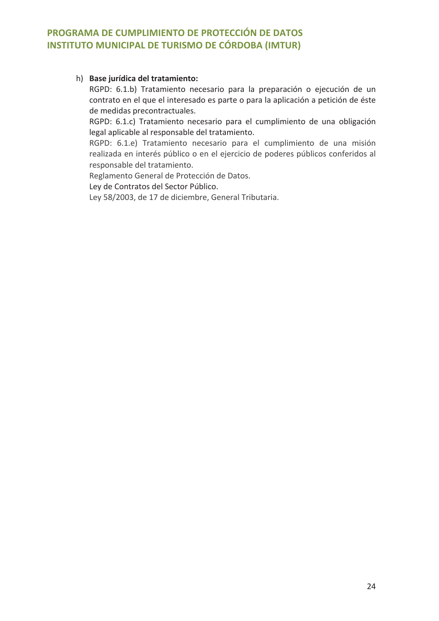## h) Base jurídica del tratamiento:

RGPD: 6.1.b) Tratamiento necesario para la preparación o ejecución de un contrato en el que el interesado es parte o para la aplicación a petición de éste de medidas precontractuales.

RGPD: 6.1.c) Tratamiento necesario para el cumplimiento de una obligación legal aplicable al responsable del tratamiento.

RGPD: 6.1.e) Tratamiento necesario para el cumplimiento de una misión realizada en interés público o en el ejercicio de poderes públicos conferidos al responsable del tratamiento.

Reglamento General de Protección de Datos.

Ley de Contratos del Sector Público.

Ley 58/2003, de 17 de diciembre, General Tributaria.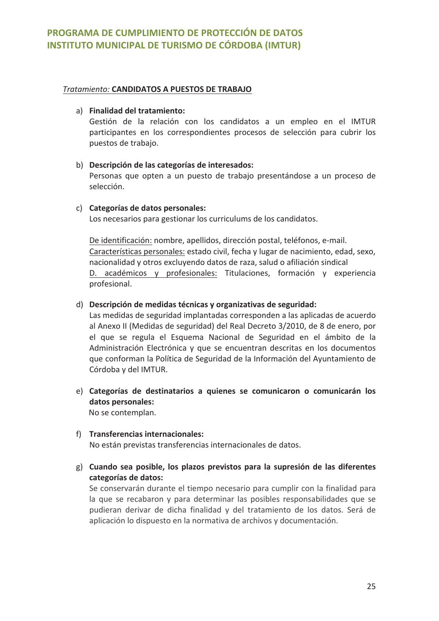## Tratamiento: CANDIDATOS A PUESTOS DE TRABAJO

## a) Finalidad del tratamiento:

Gestión de la relación con los candidatos a un empleo en el IMTUR participantes en los correspondientes procesos de selección para cubrir los puestos de trabajo.

## b) Descripción de las categorías de interesados:

Personas que opten a un puesto de trabajo presentándose a un proceso de selección.

## c) Categorías de datos personales:

Los necesarios para gestionar los curriculums de los candidatos.

De identificación: nombre, apellidos, dirección postal, teléfonos, e-mail. Características personales: estado civil, fecha y lugar de nacimiento, edad, sexo, nacionalidad y otros excluyendo datos de raza, salud o afiliación sindical D. académicos y profesionales: Titulaciones, formación y experiencia profesional.

## d) Descripción de medidas técnicas y organizativas de seguridad:

Las medidas de seguridad implantadas corresponden a las aplicadas de acuerdo al Anexo II (Medidas de seguridad) del Real Decreto 3/2010, de 8 de enero, por el que se regula el Esquema Nacional de Seguridad en el ámbito de la Administración Electrónica y que se encuentran descritas en los documentos que conforman la Política de Seguridad de la Información del Ayuntamiento de Córdoba y del IMTUR.

- e) Categorías de destinatarios a quienes se comunicaron o comunicarán los datos personales: No se contemplan.
- f) Transferencias internacionales: No están previstas transferencias internacionales de datos.
- g) Cuando sea posible, los plazos previstos para la supresión de las diferentes categorías de datos:

Se conservarán durante el tiempo necesario para cumplir con la finalidad para la que se recabaron y para determinar las posibles responsabilidades que se pudieran derivar de dicha finalidad y del tratamiento de los datos. Será de aplicación lo dispuesto en la normativa de archivos y documentación.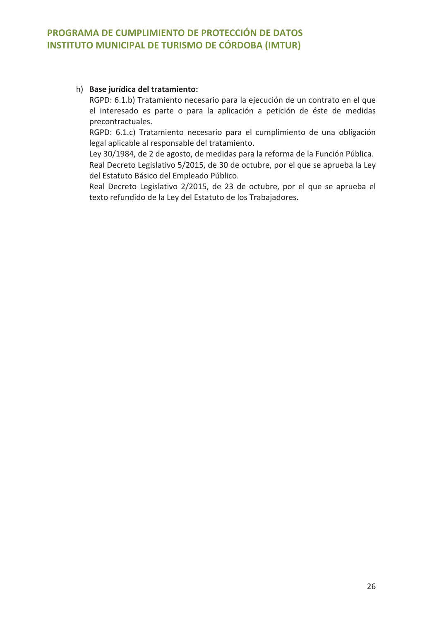## h) Base jurídica del tratamiento:

RGPD: 6.1.b) Tratamiento necesario para la ejecución de un contrato en el que el interesado es parte o para la aplicación a petición de éste de medidas precontractuales.

RGPD: 6.1.c) Tratamiento necesario para el cumplimiento de una obligación legal aplicable al responsable del tratamiento.

Ley 30/1984, de 2 de agosto, de medidas para la reforma de la Función Pública. Real Decreto Legislativo 5/2015, de 30 de octubre, por el que se aprueba la Ley del Estatuto Básico del Empleado Público.

Real Decreto Legislativo 2/2015, de 23 de octubre, por el que se aprueba el texto refundido de la Ley del Estatuto de los Trabajadores.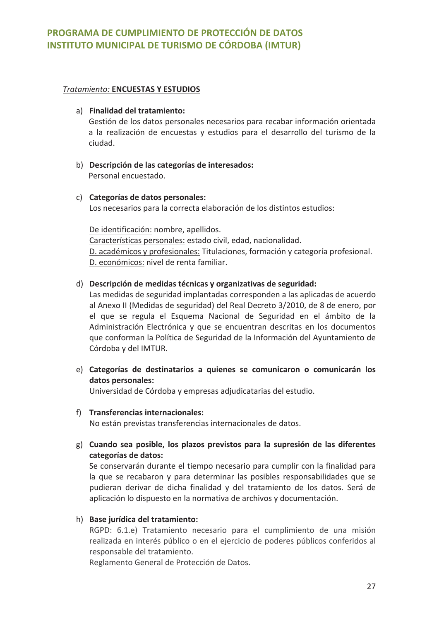#### **Tratamiento: ENCUESTAS Y ESTUDIOS**

### a) Finalidad del tratamiento:

Gestión de los datos personales necesarios para recabar información orientada a la realización de encuestas y estudios para el desarrollo del turismo de la ciudad.

b) Descripción de las categorías de interesados: Personal encuestado.

## c) Categorías de datos personales:

Los necesarios para la correcta elaboración de los distintos estudios:

De identificación: nombre, apellidos. Características personales: estado civil, edad, nacionalidad. D. académicos y profesionales: Titulaciones, formación y categoría profesional. D. económicos: nivel de renta familiar.

## d) Descripción de medidas técnicas y organizativas de seguridad:

Las medidas de seguridad implantadas corresponden a las aplicadas de acuerdo al Anexo II (Medidas de seguridad) del Real Decreto 3/2010, de 8 de enero, por el que se regula el Esquema Nacional de Seguridad en el ámbito de la Administración Electrónica y que se encuentran descritas en los documentos que conforman la Política de Seguridad de la Información del Ayuntamiento de Córdoba y del IMTUR.

e) Categorías de destinatarios a quienes se comunicaron o comunicarán los datos personales:

Universidad de Córdoba y empresas adjudicatarias del estudio.

## f) Transferencias internacionales:

No están previstas transferencias internacionales de datos.

g) Cuando sea posible, los plazos previstos para la supresión de las diferentes categorías de datos:

Se conservarán durante el tiempo necesario para cumplir con la finalidad para la que se recabaron y para determinar las posibles responsabilidades que se pudieran derivar de dicha finalidad y del tratamiento de los datos. Será de aplicación lo dispuesto en la normativa de archivos y documentación.

#### h) Base jurídica del tratamiento:

RGPD: 6.1.e) Tratamiento necesario para el cumplimiento de una misión realizada en interés público o en el ejercicio de poderes públicos conferidos al responsable del tratamiento.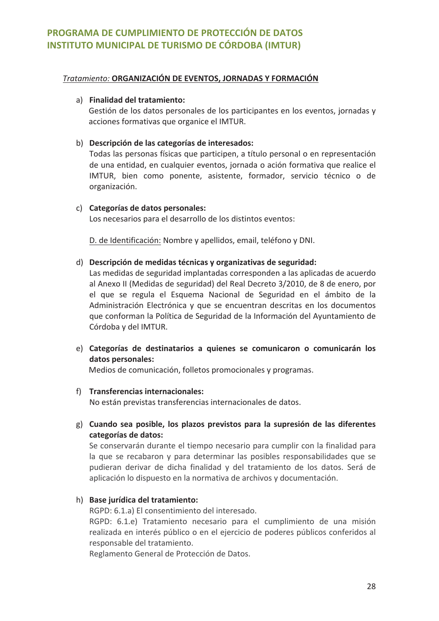#### Tratamiento: ORGANIZACIÓN DE EVENTOS, JORNADAS Y FORMACIÓN

### a) Finalidad del tratamiento:

Gestión de los datos personales de los participantes en los eventos, jornadas y acciones formativas que organice el IMTUR.

## b) Descripción de las categorías de interesados:

Todas las personas físicas que participen, a título personal o en representación de una entidad, en cualquier eventos, jornada o ación formativa que realice el IMTUR, bien como ponente, asistente, formador, servicio técnico o de organización.

#### c) Categorías de datos personales:

Los necesarios para el desarrollo de los distintos eventos:

D. de Identificación: Nombre y apellidos, email, teléfono y DNI.

## d) Descripción de medidas técnicas y organizativas de seguridad:

Las medidas de seguridad implantadas corresponden a las aplicadas de acuerdo al Anexo II (Medidas de seguridad) del Real Decreto 3/2010, de 8 de enero, por el que se regula el Esquema Nacional de Seguridad en el ámbito de la Administración Electrónica y que se encuentran descritas en los documentos que conforman la Política de Seguridad de la Información del Ayuntamiento de Córdoba y del IMTUR.

e) Categorías de destinatarios a quienes se comunicaron o comunicarán los datos personales:

Medios de comunicación, folletos promocionales y programas.

## f) Transferencias internacionales:

No están previstas transferencias internacionales de datos.

g) Cuando sea posible, los plazos previstos para la supresión de las diferentes categorías de datos:

Se conservarán durante el tiempo necesario para cumplir con la finalidad para la que se recabaron y para determinar las posibles responsabilidades que se pudieran derivar de dicha finalidad y del tratamiento de los datos. Será de aplicación lo dispuesto en la normativa de archivos y documentación.

## h) Base jurídica del tratamiento:

RGPD: 6.1.a) El consentimiento del interesado.

RGPD: 6.1.e) Tratamiento necesario para el cumplimiento de una misión realizada en interés público o en el ejercicio de poderes públicos conferidos al responsable del tratamiento.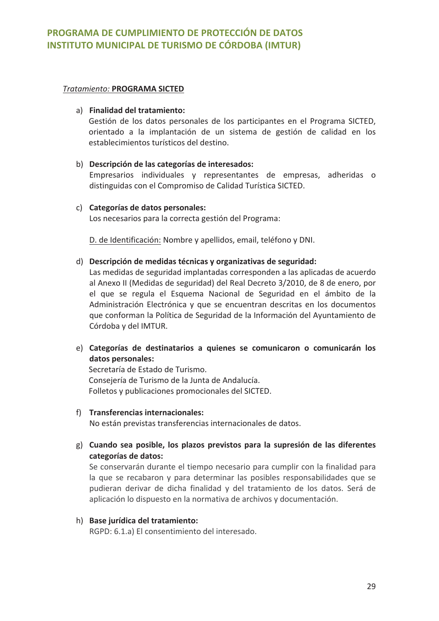#### **Tratamiento: PROGRAMA SICTED**

## a) Finalidad del tratamiento:

Gestión de los datos personales de los participantes en el Programa SICTED, orientado a la implantación de un sistema de gestión de calidad en los establecimientos turísticos del destino.

#### b) Descripción de las categorías de interesados:

Empresarios individuales y representantes de empresas, adheridas o distinguidas con el Compromiso de Calidad Turística SICTED.

#### c) Categorías de datos personales:

Los necesarios para la correcta gestión del Programa:

D. de Identificación: Nombre y apellidos, email, teléfono y DNI.

#### d) Descripción de medidas técnicas y organizativas de seguridad:

Las medidas de seguridad implantadas corresponden a las aplicadas de acuerdo al Anexo II (Medidas de seguridad) del Real Decreto 3/2010, de 8 de enero, por el que se regula el Esquema Nacional de Seguridad en el ámbito de la Administración Electrónica y que se encuentran descritas en los documentos que conforman la Política de Seguridad de la Información del Ayuntamiento de Córdoba y del IMTUR.

e) Categorías de destinatarios a quienes se comunicaron o comunicarán los datos personales:

Secretaría de Estado de Turismo. Consejería de Turismo de la Junta de Andalucía. Folletos y publicaciones promocionales del SICTED.

#### f) Transferencias internacionales:

No están previstas transferencias internacionales de datos.

g) Cuando sea posible, los plazos previstos para la supresión de las diferentes categorías de datos:

Se conservarán durante el tiempo necesario para cumplir con la finalidad para la que se recabaron y para determinar las posibles responsabilidades que se pudieran derivar de dicha finalidad y del tratamiento de los datos. Será de aplicación lo dispuesto en la normativa de archivos y documentación.

## h) Base jurídica del tratamiento:

RGPD: 6.1.a) El consentimiento del interesado.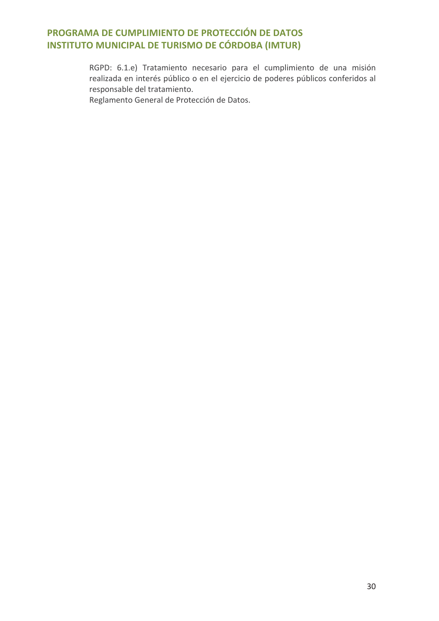RGPD: 6.1.e) Tratamiento necesario para el cumplimiento de una misión realizada en interés público o en el ejercicio de poderes públicos conferidos al responsable del tratamiento.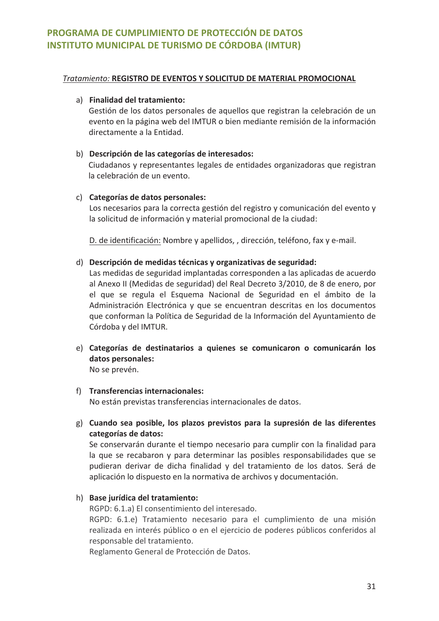#### Tratamiento: REGISTRO DE EVENTOS Y SOLICITUD DE MATERIAL PROMOCIONAL

### a) Finalidad del tratamiento:

Gestión de los datos personales de aquellos que registran la celebración de un evento en la página web del IMTUR o bien mediante remisión de la información directamente a la Entidad.

### b) Descripción de las categorías de interesados:

Ciudadanos y representantes legales de entidades organizadoras que registran la celebración de un evento.

## c) Categorías de datos personales:

Los necesarios para la correcta gestión del registro y comunicación del evento y la solicitud de información y material promocional de la ciudad:

D. de identificación: Nombre y apellidos, , dirección, teléfono, fax y e-mail.

## d) Descripción de medidas técnicas y organizativas de seguridad:

Las medidas de seguridad implantadas corresponden a las aplicadas de acuerdo al Anexo II (Medidas de seguridad) del Real Decreto 3/2010, de 8 de enero, por el que se regula el Esquema Nacional de Seguridad en el ámbito de la Administración Electrónica y que se encuentran descritas en los documentos que conforman la Política de Seguridad de la Información del Ayuntamiento de Córdoba y del IMTUR.

e) Categorías de destinatarios a quienes se comunicaron o comunicarán los datos personales:

No se prevén.

#### f) Transferencias internacionales:

No están previstas transferencias internacionales de datos.

g) Cuando sea posible, los plazos previstos para la supresión de las diferentes categorías de datos:

Se conservarán durante el tiempo necesario para cumplir con la finalidad para la que se recabaron y para determinar las posibles responsabilidades que se pudieran derivar de dicha finalidad y del tratamiento de los datos. Será de aplicación lo dispuesto en la normativa de archivos y documentación.

## h) Base jurídica del tratamiento:

RGPD: 6.1.a) El consentimiento del interesado.

RGPD: 6.1.e) Tratamiento necesario para el cumplimiento de una misión realizada en interés público o en el ejercicio de poderes públicos conferidos al responsable del tratamiento.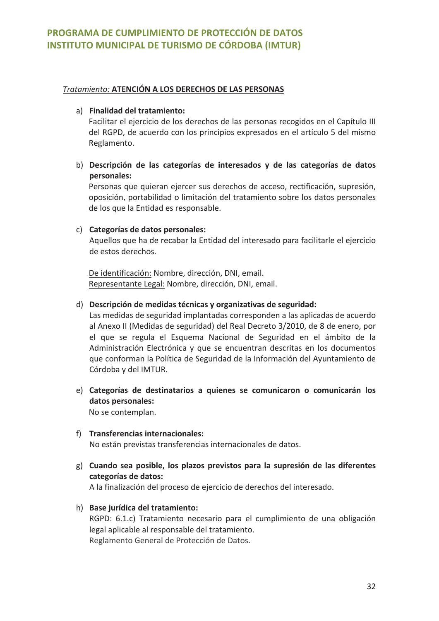## Tratamiento: ATENCIÓN A LOS DERECHOS DE LAS PERSONAS

#### a) Finalidad del tratamiento:

Facilitar el ejercicio de los derechos de las personas recogidos en el Capítulo III del RGPD, de acuerdo con los principios expresados en el artículo 5 del mismo Reglamento.

b) Descripción de las categorías de interesados y de las categorías de datos personales:

Personas que quieran ejercer sus derechos de acceso, rectificación, supresión, oposición, portabilidad o limitación del tratamiento sobre los datos personales de los que la Entidad es responsable.

#### c) Categorías de datos personales:

Aquellos que ha de recabar la Entidad del interesado para facilitarle el ejercicio de estos derechos.

De identificación: Nombre, dirección, DNI, email. Representante Legal: Nombre, dirección, DNI, email.

## d) Descripción de medidas técnicas y organizativas de seguridad:

Las medidas de seguridad implantadas corresponden a las aplicadas de acuerdo al Anexo II (Medidas de seguridad) del Real Decreto 3/2010, de 8 de enero, por el que se regula el Esquema Nacional de Seguridad en el ámbito de la Administración Electrónica y que se encuentran descritas en los documentos que conforman la Política de Seguridad de la Información del Ayuntamiento de Córdoba y del IMTUR.

- e) Categorías de destinatarios a quienes se comunicaron o comunicarán los datos personales: No se contemplan.
- f) Transferencias internacionales: No están previstas transferencias internacionales de datos.
- g) Cuando sea posible, los plazos previstos para la supresión de las diferentes categorías de datos:

A la finalización del proceso de ejercicio de derechos del interesado.

## h) Base jurídica del tratamiento:

RGPD: 6.1.c) Tratamiento necesario para el cumplimiento de una obligación legal aplicable al responsable del tratamiento. Reglamento General de Protección de Datos.